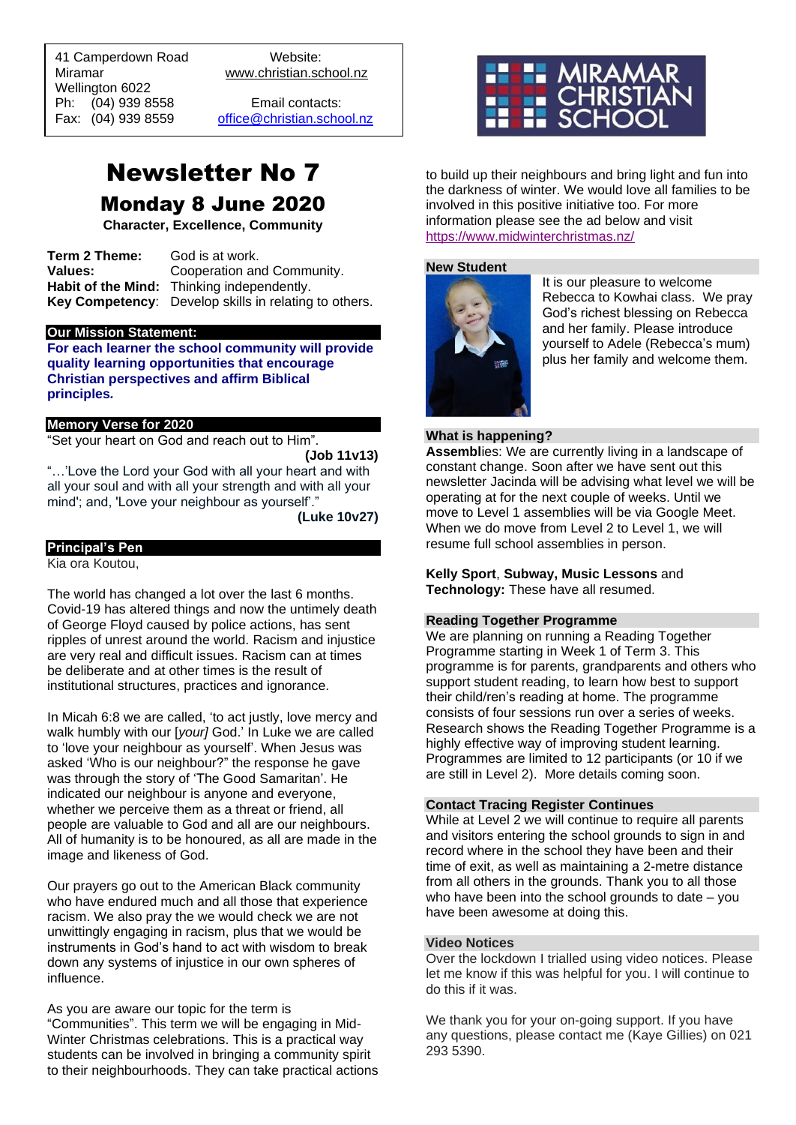41 Camperdown Road Website: Miramar www.christian.school.nz Wellington 6022 Ph: (04) 939 8558 Email contacts:

 $\overline{a}$ 

Fax: (04) 939 8559 [office@christian.school.nz](mailto:office@christian.school.nz)

# Newsletter No 7 Monday 8 June 2020

**Character, Excellence, Community**

**Term 2 Theme:** God is at work. **Values:** Cooperation and Community. **Habit of the Mind:** Thinking independently. **Key Competency**: Develop skills in relating to others.

#### **Our Mission Statement:**

**For each learner the school community will provide quality learning opportunities that encourage Christian perspectives and affirm Biblical principles***.*

#### **Memory Verse for 2020**

"Set your heart on God and reach out to Him".

**(Job 11v13)**

"…'Love the Lord your God with all your heart and with all your soul and with all your strength and with all your mind'; and, 'Love your neighbour as yourself'."

**(Luke 10v27)**

#### **Principal's Pen**

Kia ora Koutou,

The world has changed a lot over the last 6 months. Covid-19 has altered things and now the untimely death of George Floyd caused by police actions, has sent ripples of unrest around the world. Racism and injustice are very real and difficult issues. Racism can at times be deliberate and at other times is the result of institutional structures, practices and ignorance.

In Micah 6:8 we are called, 'to act justly, love mercy and walk humbly with our [*your]* God.' In Luke we are called to 'love your neighbour as yourself'. When Jesus was asked 'Who is our neighbour?" the response he gave was through the story of 'The Good Samaritan'. He indicated our neighbour is anyone and everyone, whether we perceive them as a threat or friend, all people are valuable to God and all are our neighbours. All of humanity is to be honoured, as all are made in the image and likeness of God.

Our prayers go out to the American Black community who have endured much and all those that experience racism. We also pray the we would check we are not unwittingly engaging in racism, plus that we would be instruments in God's hand to act with wisdom to break down any systems of injustice in our own spheres of influence.

As you are aware our topic for the term is "Communities". This term we will be engaging in Mid-Winter Christmas celebrations. This is a practical way students can be involved in bringing a community spirit to their neighbourhoods. They can take practical actions



to build up their neighbours and bring light and fun into the darkness of winter. We would love all families to be involved in this positive initiative too. For more information please see the ad below and visit <https://www.midwinterchristmas.nz/>

#### **New Student**



It is our pleasure to welcome Rebecca to Kowhai class. We pray God's richest blessing on Rebecca and her family. Please introduce yourself to Adele (Rebecca's mum) plus her family and welcome them.

#### **What is happening?**

**Assembl**ies: We are currently living in a landscape of constant change. Soon after we have sent out this newsletter Jacinda will be advising what level we will be operating at for the next couple of weeks. Until we move to Level 1 assemblies will be via Google Meet. When we do move from Level 2 to Level 1, we will resume full school assemblies in person.

#### **Kelly Sport**, **Subway, Music Lessons** and **Technology:** These have all resumed.

#### **Reading Together Programme**

We are planning on running a Reading Together Programme starting in Week 1 of Term 3. This programme is for parents, grandparents and others who support student reading, to learn how best to support their child/ren's reading at home. The programme consists of four sessions run over a series of weeks. Research shows the Reading Together Programme is a highly effective way of improving student learning. Programmes are limited to 12 participants (or 10 if we are still in Level 2). More details coming soon.

#### **Contact Tracing Register Continues**

While at Level 2 we will continue to require all parents and visitors entering the school grounds to sign in and record where in the school they have been and their time of exit, as well as maintaining a 2-metre distance from all others in the grounds. Thank you to all those who have been into the school grounds to date – you have been awesome at doing this.

## **Video Notices**

Over the lockdown I trialled using video notices. Please let me know if this was helpful for you. I will continue to do this if it was.

We thank you for your on-going support. If you have any questions, please contact me (Kaye Gillies) on 021 293 5390.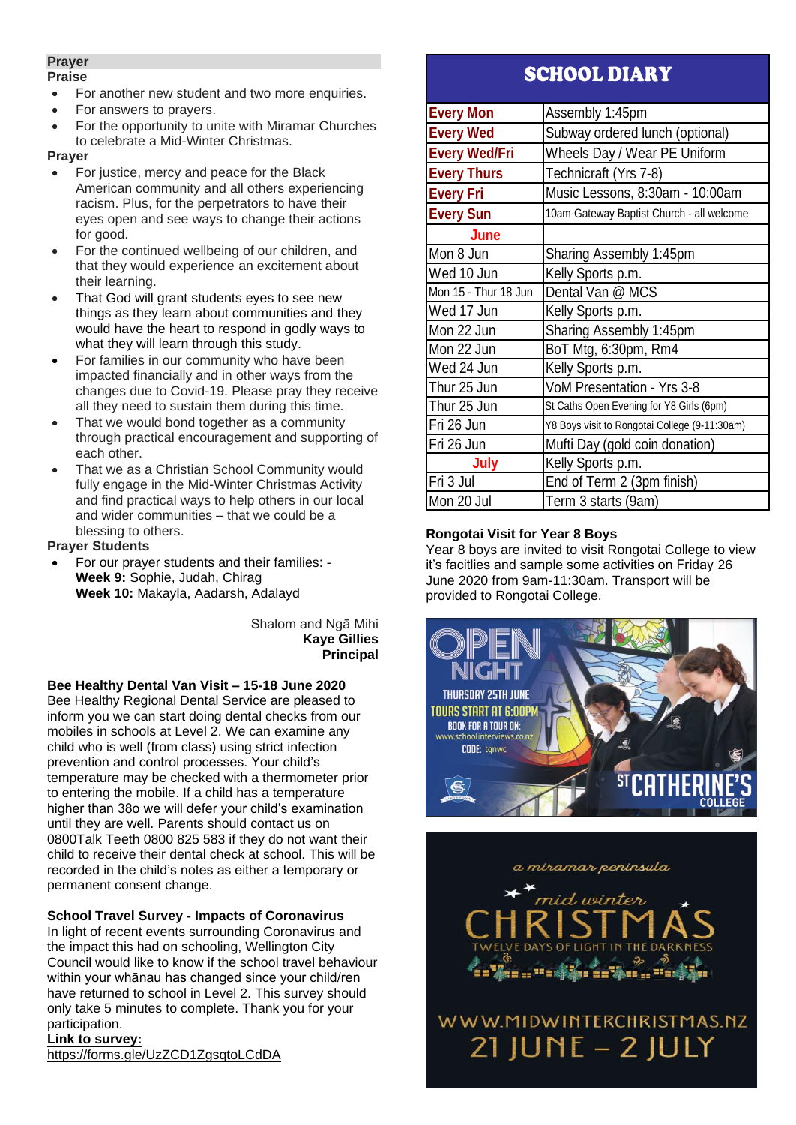## **Prayer**

#### **Praise**

- For another new student and two more enquiries.
- For answers to prayers.
- For the opportunity to unite with Miramar Churches to celebrate a Mid-Winter Christmas.

### **Prayer**

- For justice, mercy and peace for the Black American community and all others experiencing racism. Plus, for the perpetrators to have their eyes open and see ways to change their actions for good.
- For the continued wellbeing of our children, and that they would experience an excitement about their learning.
- That God will grant students eyes to see new things as they learn about communities and they would have the heart to respond in godly ways to what they will learn through this study.
- For families in our community who have been impacted financially and in other ways from the changes due to Covid-19. Please pray they receive all they need to sustain them during this time.
- That we would bond together as a community through practical encouragement and supporting of each other.
- That we as a Christian School Community would fully engage in the Mid-Winter Christmas Activity and find practical ways to help others in our local and wider communities – that we could be a blessing to others.

## **Prayer Students**

• For our prayer students and their families: - **Week 9:** Sophie, Judah, Chirag **Week 10:** Makayla, Aadarsh, Adalayd

> Shalom and Ngā Mihi **Kaye Gillies Principal**

# **Bee Healthy Dental Van Visit – 15-18 June 2020**

Bee Healthy Regional Dental Service are pleased to inform you we can start doing dental checks from our mobiles in schools at Level 2. We can examine any child who is well (from class) using strict infection prevention and control processes. Your child's temperature may be checked with a thermometer prior to entering the mobile. If a child has a temperature higher than 38o we will defer your child's examination until they are well. Parents should contact us on 0800Talk Teeth 0800 825 583 if they do not want their child to receive their dental check at school. This will be recorded in the child's notes as either a temporary or permanent consent change.

# **School Travel Survey - Impacts of Coronavirus**

In light of recent events surrounding Coronavirus and the impact this had on schooling, Wellington City Council would like to know if the school travel behaviour within your whānau has changed since your child/ren have returned to school in Level 2. This survey should only take 5 minutes to complete. Thank you for your participation.

# **Link to survey:**

<https://forms.gle/UzZCD1ZgsqtoLCdDA>

# SCHOOL DIARY

| <b>Every Mon</b>     | Assembly 1:45pm                               |
|----------------------|-----------------------------------------------|
| <b>Every Wed</b>     | Subway ordered lunch (optional)               |
| <b>Every Wed/Fri</b> | Wheels Day / Wear PE Uniform                  |
| <b>Every Thurs</b>   | Technicraft (Yrs 7-8)                         |
| <b>Every Fri</b>     | Music Lessons, 8:30am - 10:00am               |
| <b>Every Sun</b>     | 10am Gateway Baptist Church - all welcome     |
| June                 |                                               |
| Mon 8 Jun            | Sharing Assembly 1:45pm                       |
| Wed 10 Jun           | Kelly Sports p.m.                             |
| Mon 15 - Thur 18 Jun | Dental Van @ MCS                              |
| Wed 17 Jun           | Kelly Sports p.m.                             |
| Mon 22 Jun           | Sharing Assembly 1:45pm                       |
| Mon 22 Jun           | BoT Mtg, 6:30pm, Rm4                          |
| Wed 24 Jun           | Kelly Sports p.m.                             |
| Thur 25 Jun          | VoM Presentation - Yrs 3-8                    |
| Thur 25 Jun          | St Caths Open Evening for Y8 Girls (6pm)      |
| Fri 26 Jun           | Y8 Boys visit to Rongotai College (9-11:30am) |
| Fri 26 Jun           | Mufti Day (gold coin donation)                |
| July                 | Kelly Sports p.m.                             |
| Fri 3 Jul            | End of Term 2 (3pm finish)                    |
| Mon 20 Jul           | Term 3 starts (9am)                           |

# **Rongotai Visit for Year 8 Boys**

Year 8 boys are invited to visit Rongotai College to view it's facitlies and sample some activities on Friday 26 June 2020 from 9am-11:30am. Transport will be provided to Rongotai College.



a miramar peninsula

 $=$ 

WWW.MIDWINTERCHRISTMAS.NZ  $21$  JUNE - 2 JULY

71. . . . .

....<sup>..</sup>....